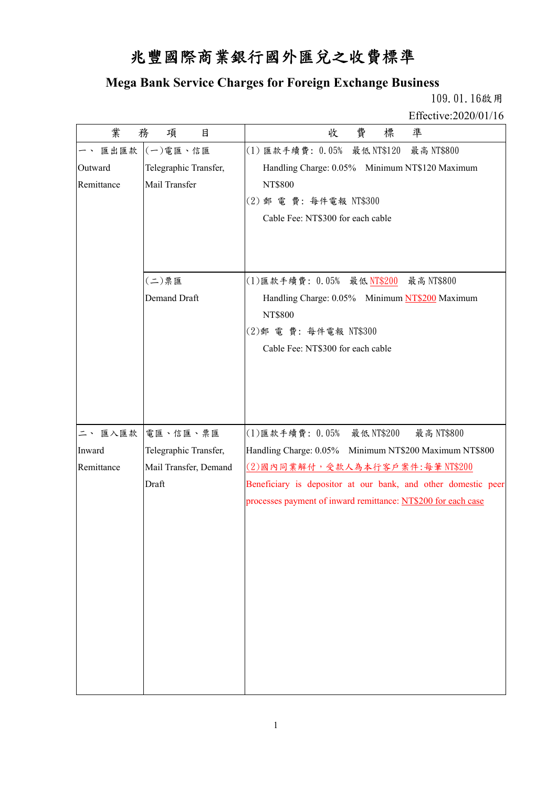## 兆豐國際商業銀行國外匯兌之收費標準

## **Mega Bank Service Charges for Foreign Exchange Business**

 109.01.16啟用 Effective:2020/01/16

| 業          | 務<br>項<br>目           | 費<br>標<br>凖<br>收                                              |
|------------|-----------------------|---------------------------------------------------------------|
| 匯出匯款       | (一)電匯、信匯              | (1) 匯款手續費: 0.05% 最低NT\$120<br>最高 NT\$800                      |
| Outward    | Telegraphic Transfer, | Handling Charge: 0.05% Minimum NT\$120 Maximum                |
| Remittance | Mail Transfer         | NT\$800                                                       |
|            |                       | (2) 郵電費: 每件電報 NT\$300                                         |
|            |                       | Cable Fee: NT\$300 for each cable                             |
|            |                       |                                                               |
|            |                       |                                                               |
|            | $(1)$ 票匯              | (1) 匯款手續費: 0.05% 最低 NT\$200 最高 NT\$800                        |
|            | Demand Draft          | Handling Charge: 0.05% Minimum NT\$200 Maximum                |
|            |                       | <b>NT\$800</b>                                                |
|            |                       | (2) 郵 電 費: 每件電報 NT\$300                                       |
|            |                       | Cable Fee: NT\$300 for each cable                             |
|            |                       |                                                               |
|            |                       |                                                               |
|            |                       |                                                               |
|            |                       |                                                               |
| 二、匯入匯款     | 電匯、信匯、票匯              | (1) 匯款手續費: 0.05% 最低 NT\$200<br>最高 NT\$800                     |
| Inward     | Telegraphic Transfer, | Handling Charge: 0.05% Minimum NT\$200 Maximum NT\$800        |
| Remittance | Mail Transfer, Demand | $(2)$ 國內同業解付,受款人為本行客戶案件:每筆 NT\$200                            |
|            | Draft                 | Beneficiary is depositor at our bank, and other domestic peer |
|            |                       | processes payment of inward remittance: NT\$200 for each case |
|            |                       |                                                               |
|            |                       |                                                               |
|            |                       |                                                               |
|            |                       |                                                               |
|            |                       |                                                               |
|            |                       |                                                               |
|            |                       |                                                               |
|            |                       |                                                               |
|            |                       |                                                               |
|            |                       |                                                               |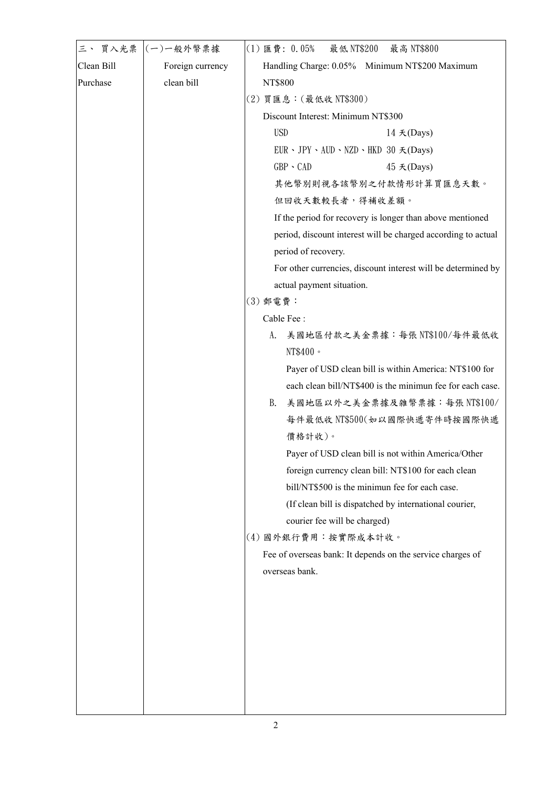| 三、 買入光票    | (一)一般外幣票據        | 最低 NT\$200<br>$(1) \ncong$ 費: 0.05%<br>最高 NT\$800              |
|------------|------------------|----------------------------------------------------------------|
| Clean Bill | Foreign currency | Handling Charge: 0.05% Minimum NT\$200 Maximum                 |
| Purchase   | clean bill       | NT\$800                                                        |
|            |                  | (2) 買匯息: (最低收 NT\$300)                                         |
|            |                  | Discount Interest: Minimum NT\$300                             |
|            |                  | <b>USD</b><br>$14 \times ($ Days $)$                           |
|            |                  | $EUR \cdot JPY \cdot AUD \cdot NZD \cdot HKD 30 \nless (Days)$ |
|            |                  | $GBP \cdot CAD$<br>45 天(Days)                                  |
|            |                  | 其他幣別則視各該幣別之付款情形計算買匯息天數。                                        |
|            |                  | 但回收天數較長者,得補收差額。                                                |
|            |                  | If the period for recovery is longer than above mentioned      |
|            |                  | period, discount interest will be charged according to actual  |
|            |                  | period of recovery.                                            |
|            |                  | For other currencies, discount interest will be determined by  |
|            |                  | actual payment situation.                                      |
|            |                  | (3) 郵電費:                                                       |
|            |                  | Cable Fee:                                                     |
|            |                  | 美國地區付款之美金票據:每張NT\$100/每件最低收<br>A.                              |
|            |                  | NT\$400 ·                                                      |
|            |                  | Payer of USD clean bill is within America: NT\$100 for         |
|            |                  | each clean bill/NT\$400 is the minimun fee for each case.      |
|            |                  | 美國地區以外之美金票據及雜幣票據:每張 NT\$100/<br>B.                             |
|            |                  | 每件最低收 NT\$500(如以國際快遞寄件時按國際快遞                                   |
|            |                  | 價格計收)。                                                         |
|            |                  | Payer of USD clean bill is not within America/Other            |
|            |                  | foreign currency clean bill: NT\$100 for each clean            |
|            |                  | bill/NT\$500 is the minimun fee for each case.                 |
|            |                  | (If clean bill is dispatched by international courier,         |
|            |                  | courier fee will be charged)                                   |
|            |                  | (4) 國外銀行費用:按實際成本計收。                                            |
|            |                  | Fee of overseas bank: It depends on the service charges of     |
|            |                  | overseas bank.                                                 |
|            |                  |                                                                |
|            |                  |                                                                |
|            |                  |                                                                |
|            |                  |                                                                |
|            |                  |                                                                |
|            |                  |                                                                |
|            |                  |                                                                |
|            |                  |                                                                |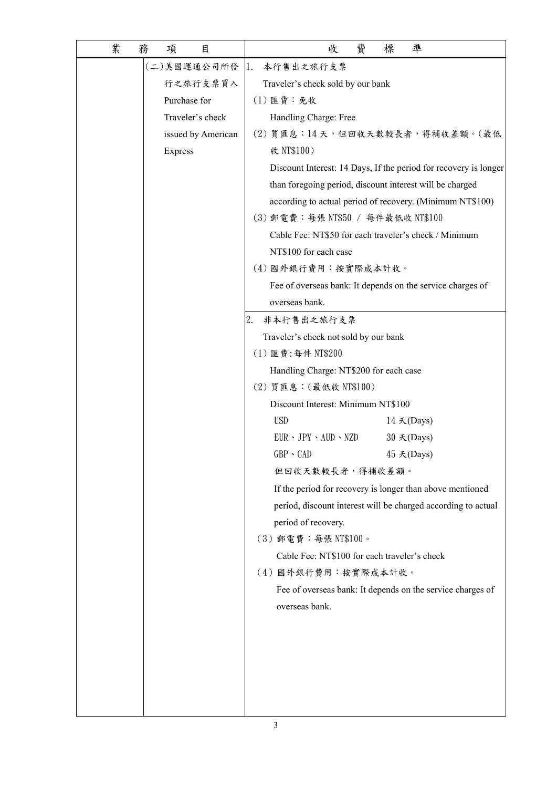| 業 | 務 | 項              | 目                  |    |                                        | 收                                            | 費 | 標 | 凖                      |                                                                  |
|---|---|----------------|--------------------|----|----------------------------------------|----------------------------------------------|---|---|------------------------|------------------------------------------------------------------|
|   |   |                | (二)美國運通公司所發        | 1. | 本行售出之旅行支票                              |                                              |   |   |                        |                                                                  |
|   |   |                | 行之旅行支票買入           |    | Traveler's check sold by our bank      |                                              |   |   |                        |                                                                  |
|   |   |                | Purchase for       |    | $(1)$ 匯費:免收                            |                                              |   |   |                        |                                                                  |
|   |   |                | Traveler's check   |    | Handling Charge: Free                  |                                              |   |   |                        |                                                                  |
|   |   |                | issued by American |    |                                        |                                              |   |   |                        | (2) 買匯息:14天,但回收天數較長者,得補收差額。(最低                                   |
|   |   | <b>Express</b> |                    |    | 收 NT\$100)                             |                                              |   |   |                        |                                                                  |
|   |   |                |                    |    |                                        |                                              |   |   |                        | Discount Interest: 14 Days, If the period for recovery is longer |
|   |   |                |                    |    |                                        |                                              |   |   |                        | than foregoing period, discount interest will be charged         |
|   |   |                |                    |    |                                        |                                              |   |   |                        | according to actual period of recovery. (Minimum NT\$100)        |
|   |   |                |                    |    | (3) 郵電費:每張 NT\$50 / 每件最低收 NT\$100      |                                              |   |   |                        |                                                                  |
|   |   |                |                    |    |                                        |                                              |   |   |                        | Cable Fee: NT\$50 for each traveler's check / Minimum            |
|   |   |                |                    |    | NT\$100 for each case                  |                                              |   |   |                        |                                                                  |
|   |   |                |                    |    | (4) 國外銀行費用: 按實際成本計收。                   |                                              |   |   |                        |                                                                  |
|   |   |                |                    |    |                                        |                                              |   |   |                        | Fee of overseas bank: It depends on the service charges of       |
|   |   |                |                    |    | overseas bank.                         |                                              |   |   |                        |                                                                  |
|   |   |                |                    | 2. | 非本行售出之旅行支票                             |                                              |   |   |                        |                                                                  |
|   |   |                |                    |    | Traveler's check not sold by our bank  |                                              |   |   |                        |                                                                  |
|   |   |                |                    |    | (1) 匯費:每件 NT\$200                      |                                              |   |   |                        |                                                                  |
|   |   |                |                    |    | Handling Charge: NT\$200 for each case |                                              |   |   |                        |                                                                  |
|   |   |                |                    |    | (2) 買匯息: (最低收 NT\$100)                 |                                              |   |   |                        |                                                                  |
|   |   |                |                    |    | Discount Interest: Minimum NT\$100     |                                              |   |   |                        |                                                                  |
|   |   |                |                    |    | <b>USD</b>                             |                                              |   |   | $14 \times ($ Days $)$ |                                                                  |
|   |   |                |                    |    | $EUR \cdot JPY \cdot AUD \cdot NZD$    |                                              |   |   | 30 天(Days)             |                                                                  |
|   |   |                |                    |    | $GBP \cdot CAD$                        |                                              |   |   | 45 天(Days)             |                                                                  |
|   |   |                |                    |    |                                        | 但回收天數較長者,得補收差額。                              |   |   |                        |                                                                  |
|   |   |                |                    |    |                                        |                                              |   |   |                        | If the period for recovery is longer than above mentioned        |
|   |   |                |                    |    |                                        |                                              |   |   |                        | period, discount interest will be charged according to actual    |
|   |   |                |                    |    | period of recovery.                    |                                              |   |   |                        |                                                                  |
|   |   |                |                    |    | (3) 郵電費:每張 NT\$100。                    |                                              |   |   |                        |                                                                  |
|   |   |                |                    |    |                                        | Cable Fee: NT\$100 for each traveler's check |   |   |                        |                                                                  |
|   |   |                |                    |    | (4) 國外銀行費用:按實際成本計收。                    |                                              |   |   |                        |                                                                  |
|   |   |                |                    |    |                                        |                                              |   |   |                        | Fee of overseas bank: It depends on the service charges of       |
|   |   |                |                    |    | overseas bank.                         |                                              |   |   |                        |                                                                  |
|   |   |                |                    |    |                                        |                                              |   |   |                        |                                                                  |
|   |   |                |                    |    |                                        |                                              |   |   |                        |                                                                  |
|   |   |                |                    |    |                                        |                                              |   |   |                        |                                                                  |
|   |   |                |                    |    |                                        |                                              |   |   |                        |                                                                  |
|   |   |                |                    |    |                                        |                                              |   |   |                        |                                                                  |
|   |   |                |                    |    |                                        |                                              |   |   |                        |                                                                  |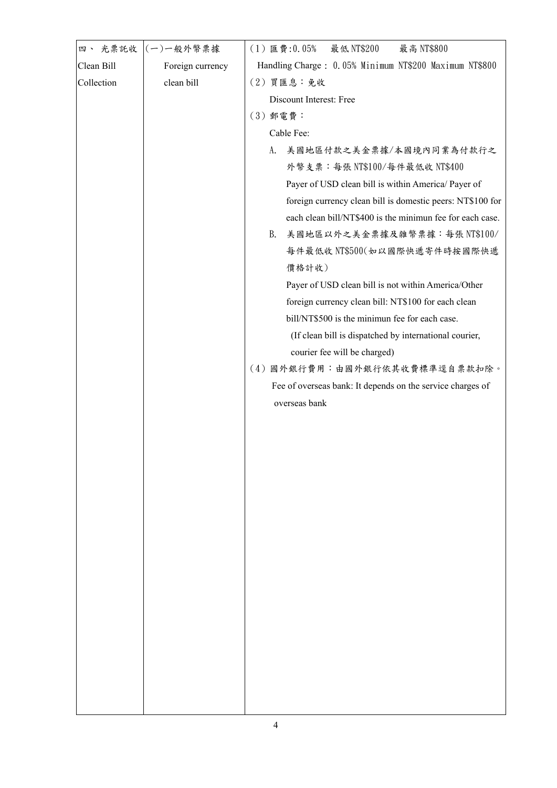| 四、 光票託收    | (一)一般外幣票據        | (1) 匯費:0.05%<br>最低 NT\$200<br>最高 NT\$800                                                    |
|------------|------------------|---------------------------------------------------------------------------------------------|
| Clean Bill | Foreign currency | Handling Charge: 0.05% Minimum NT\$200 Maximum NT\$800                                      |
| Collection | clean bill       | (2) 買匯息:免收                                                                                  |
|            |                  | Discount Interest: Free                                                                     |
|            |                  | (3) 郵電費:                                                                                    |
|            |                  | Cable Fee:                                                                                  |
|            |                  | 美國地區付款之美金票據/本國境內同業為付款行之<br>A.                                                               |
|            |                  | 外幣支票:每張 NT\$100/每件最低收 NT\$400                                                               |
|            |                  | Payer of USD clean bill is within America/ Payer of                                         |
|            |                  | foreign currency clean bill is domestic peers: NT\$100 for                                  |
|            |                  | each clean bill/NT\$400 is the minimun fee for each case.                                   |
|            |                  | <b>B.</b><br>美國地區以外之美金票據及雜幣票據:每張 NT\$100/                                                   |
|            |                  | 每件最低收 NT\$500(如以國際快遞寄件時按國際快遞                                                                |
|            |                  | 價格計收)                                                                                       |
|            |                  | Payer of USD clean bill is not within America/Other                                         |
|            |                  | foreign currency clean bill: NT\$100 for each clean                                         |
|            |                  | bill/NT\$500 is the minimun fee for each case.                                              |
|            |                  | (If clean bill is dispatched by international courier,                                      |
|            |                  | courier fee will be charged)                                                                |
|            |                  | (4) 國外銀行費用:由國外銀行依其收費標準逕自票款扣除。<br>Fee of overseas bank: It depends on the service charges of |
|            |                  | overseas bank                                                                               |
|            |                  |                                                                                             |
|            |                  |                                                                                             |
|            |                  |                                                                                             |
|            |                  |                                                                                             |
|            |                  |                                                                                             |
|            |                  |                                                                                             |
|            |                  |                                                                                             |
|            |                  |                                                                                             |
|            |                  |                                                                                             |
|            |                  |                                                                                             |
|            |                  |                                                                                             |
|            |                  |                                                                                             |
|            |                  |                                                                                             |
|            |                  |                                                                                             |
|            |                  |                                                                                             |
|            |                  |                                                                                             |
|            |                  |                                                                                             |
|            |                  |                                                                                             |
|            |                  |                                                                                             |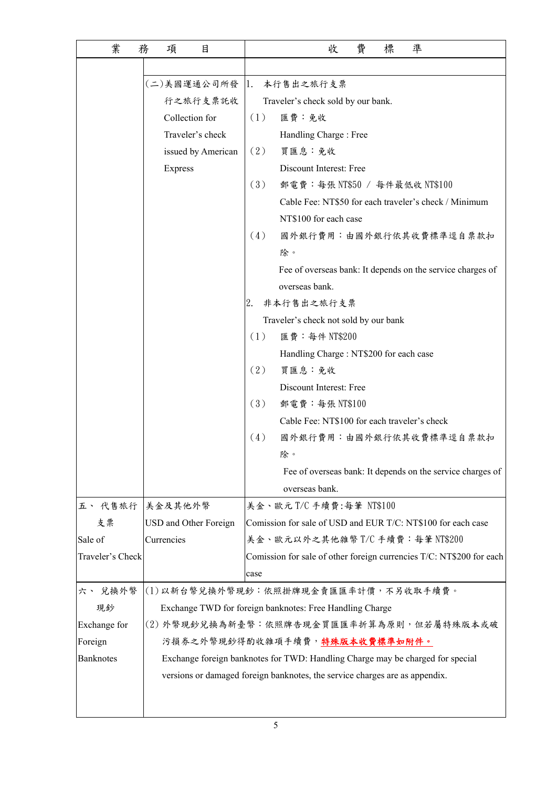| 業                | 目<br>務<br>項                                              | 費<br>標<br>凖<br>收                                                               |  |  |
|------------------|----------------------------------------------------------|--------------------------------------------------------------------------------|--|--|
|                  |                                                          |                                                                                |  |  |
|                  |                                                          | (二)美國運通公司所發  1. 本行售出之旅行支票                                                      |  |  |
|                  | 行之旅行支票託收                                                 | Traveler's check sold by our bank.                                             |  |  |
|                  | Collection for                                           | (1)<br>匯費:免收                                                                   |  |  |
|                  | Traveler's check                                         | Handling Charge: Free                                                          |  |  |
|                  | issued by American                                       | (2)<br>買匯息:免收                                                                  |  |  |
|                  | Express                                                  | Discount Interest: Free                                                        |  |  |
|                  |                                                          | (3)<br>郵電費:每張 NT\$50 / 每件最低收 NT\$100                                           |  |  |
|                  |                                                          | Cable Fee: NT\$50 for each traveler's check / Minimum                          |  |  |
|                  |                                                          | NT\$100 for each case                                                          |  |  |
|                  |                                                          | (4)<br>國外銀行費用:由國外銀行依其收費標準逕自票款扣                                                 |  |  |
|                  |                                                          | 除。                                                                             |  |  |
|                  |                                                          | Fee of overseas bank: It depends on the service charges of                     |  |  |
|                  |                                                          | overseas bank.                                                                 |  |  |
|                  |                                                          | 非本行售出之旅行支票<br>2.                                                               |  |  |
|                  |                                                          | Traveler's check not sold by our bank                                          |  |  |
|                  |                                                          | (1)<br>匯費:每件 NT\$200                                                           |  |  |
|                  |                                                          | Handling Charge: NT\$200 for each case                                         |  |  |
|                  |                                                          | (2)<br>買匯息:免收                                                                  |  |  |
|                  |                                                          | Discount Interest: Free                                                        |  |  |
|                  |                                                          | (3)<br>郵電費:每張 NT\$100                                                          |  |  |
|                  |                                                          | Cable Fee: NT\$100 for each traveler's check                                   |  |  |
|                  |                                                          | (4)<br>國外銀行費用:由國外銀行依其收費標準逕自票款扣                                                 |  |  |
|                  |                                                          | 除。                                                                             |  |  |
|                  |                                                          | Fee of overseas bank: It depends on the service charges of                     |  |  |
|                  |                                                          | overseas bank.                                                                 |  |  |
|                  | 五、代售旅行 美金及其他外幣                                           | 美金、歐元 T/C 手續費:每筆 NT\$100                                                       |  |  |
| 支票               | USD and Other Foreign                                    | Comission for sale of USD and EUR T/C: NT\$100 for each case                   |  |  |
| Sale of          | Currencies                                               | 美金、歐元以外之其他雜幣 T/C 手續費: 每筆 NT\$200                                               |  |  |
| Traveler's Check |                                                          | Comission for sale of other foreign currencies T/C: NT\$200 for each           |  |  |
|                  |                                                          | case                                                                           |  |  |
| 六、 兌換外幣          | (1) 以新台幣兌換外幣現鈔:依照掛牌現金賣匯匯率計價,不另收取手續費。                     |                                                                                |  |  |
| 現鈔               | Exchange TWD for foreign banknotes: Free Handling Charge |                                                                                |  |  |
| Exchange for     | (2) 外幣現鈔兌換為新臺幣:依照牌告現金買匯匯率折算為原則,但若屬特殊版本或破                 |                                                                                |  |  |
| Foreign          |                                                          | 污損券之外幣現鈔得酌收雜項手續費, <b>特殊版本收費標準如附件。</b>                                          |  |  |
| <b>Banknotes</b> |                                                          | Exchange foreign banknotes for TWD: Handling Charge may be charged for special |  |  |
|                  |                                                          | versions or damaged foreign banknotes, the service charges are as appendix.    |  |  |
|                  |                                                          |                                                                                |  |  |
|                  |                                                          |                                                                                |  |  |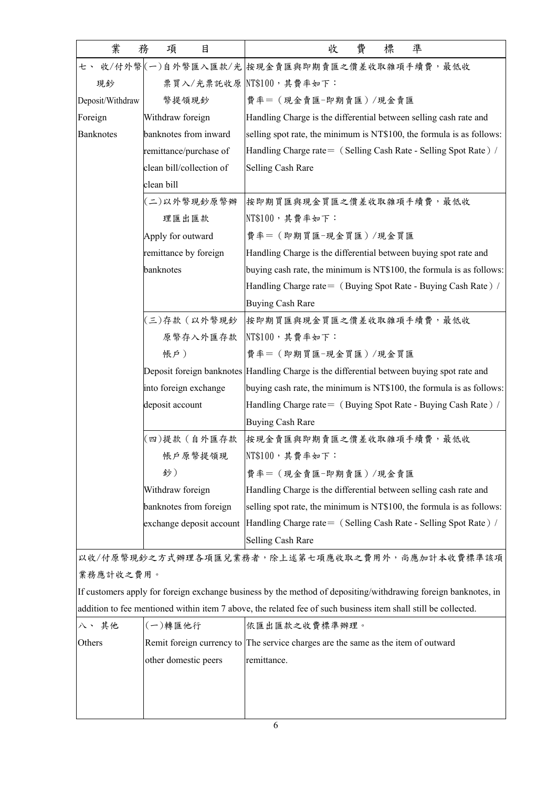| 業<br>務           | 項<br>目                   | 費<br>標<br>凖<br>收                                                                                               |
|------------------|--------------------------|----------------------------------------------------------------------------------------------------------------|
|                  |                          | 七、收/付外幣(一)自外幣匯入匯款/光 按現金賣匯與即期賣匯之價差收取雜項手續費,最低收                                                                   |
| 現鈔               |                          | 票買入/光票託收原 NT\$100,其費率如下:                                                                                       |
| Deposit/Withdraw | 幣提領現鈔                    | 費率= (現金賣匯-即期賣匯) /現金賣匯                                                                                          |
| Foreign          | Withdraw foreign         | Handling Charge is the differential between selling cash rate and                                              |
| <b>Banknotes</b> | banknotes from inward    | selling spot rate, the minimum is NT\$100, the formula is as follows:                                          |
|                  | remittance/purchase of   | Handling Charge rate = (Selling Cash Rate - Selling Spot Rate) /                                               |
|                  | clean bill/collection of | Selling Cash Rare                                                                                              |
|                  | clean bill               |                                                                                                                |
|                  | (二)以外幣現鈔原幣辦              | 按即期買匯與現金買匯之價差收取雜項手續費,最低收                                                                                       |
|                  | 理匯出匯款                    | NT\$100, 其費率如下:                                                                                                |
|                  | Apply for outward        | 費率= (即期買匯-現金買匯)/現金買匯                                                                                           |
|                  | remittance by foreign    | Handling Charge is the differential between buying spot rate and                                               |
|                  | banknotes                | buying cash rate, the minimum is NT\$100, the formula is as follows:                                           |
|                  |                          | Handling Charge rate = (Buying Spot Rate - Buying Cash Rate) /                                                 |
|                  |                          | <b>Buying Cash Rare</b>                                                                                        |
|                  | (三)存款 (以外幣現鈔             | 按即期買匯與現金買匯之價差收取雜項手續費,最低收                                                                                       |
|                  | 原幣存入外匯存款                 | NT\$100, 其費率如下:                                                                                                |
|                  | 帳戶)                      | 費率= (即期買匯-現金買匯)/現金買匯                                                                                           |
|                  |                          | Deposit foreign banknotes Handling Charge is the differential between buying spot rate and                     |
|                  | into foreign exchange    | buying cash rate, the minimum is NT\$100, the formula is as follows:                                           |
|                  | deposit account          | Handling Charge rate = (Buying Spot Rate - Buying Cash Rate) /                                                 |
|                  |                          | <b>Buying Cash Rare</b>                                                                                        |
|                  | 四)提款(自外匯存款               | 按現金賣匯與即期賣匯之價差收取雜項手續費,最低收                                                                                       |
|                  | 帐户原幣提领現                  | $NTS100, \nexists$ 費率如下:                                                                                       |
|                  | 鈔)                       | 費率= (現金賣匯-即期賣匯)/現金賣匯                                                                                           |
|                  | Withdraw foreign         | Handling Charge is the differential between selling cash rate and                                              |
|                  | banknotes from foreign   | selling spot rate, the minimum is NT\$100, the formula is as follows:                                          |
|                  | exchange deposit account | Handling Charge rate = (Selling Cash Rate - Selling Spot Rate) /                                               |
|                  |                          | Selling Cash Rare                                                                                              |
|                  |                          | 以收/付原幣現鈔之方式辦理各項匯兌業務者,除上述第七項應收取之費用外,尚應加計本收費標準該項                                                                 |
| 業務應計收之費用。        |                          |                                                                                                                |
|                  |                          | If customers apply for foreign exchange business by the method of depositing/withdrawing foreign banknotes, in |
|                  |                          | addition to fee mentioned within item 7 above, the related fee of such business item shall still be collected. |
| 八、其他             | (一)轉匯他行                  | 依匯出匯款之收費標準辦理。                                                                                                  |
| Others           |                          | Remit foreign currency to The service charges are the same as the item of outward                              |
|                  | other domestic peers     | remittance.                                                                                                    |
|                  |                          |                                                                                                                |
|                  |                          |                                                                                                                |
|                  |                          |                                                                                                                |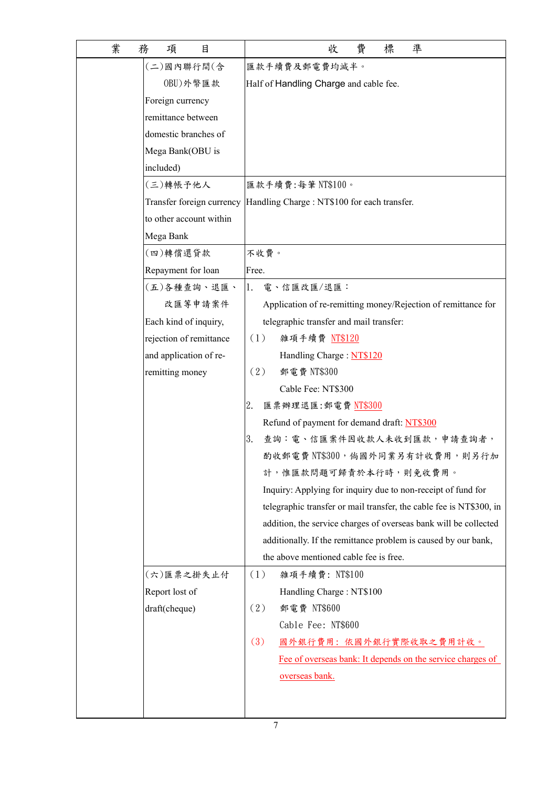| 業 | 務<br>目<br>項             | 準<br>費<br>標<br>收                                                       |
|---|-------------------------|------------------------------------------------------------------------|
|   | (二)國內聯行間(含              | 匯款手續費及郵電費均減半。                                                          |
|   | 0BU)外幣匯款                | Half of Handling Charge and cable fee.                                 |
|   | Foreign currency        |                                                                        |
|   | remittance between      |                                                                        |
|   | domestic branches of    |                                                                        |
|   | Mega Bank(OBU is        |                                                                        |
|   | included)               |                                                                        |
|   | (三)轉帳予他人                | 匯款手續費:每筆NT\$100。                                                       |
|   |                         | Transfer foreign currency Handling Charge : NT\$100 for each transfer. |
|   | to other account within |                                                                        |
|   | Mega Bank               |                                                                        |
|   | (四)轉償還貸款                | 不收費。                                                                   |
|   | Repayment for loan      | Free.                                                                  |
|   | (五)各種查詢、退匯、             | 1.<br>電、信匯改匯/退匯:                                                       |
|   | 改匯等申請案件                 | Application of re-remitting money/Rejection of remittance for          |
|   | Each kind of inquiry,   | telegraphic transfer and mail transfer:                                |
|   | rejection of remittance | (1)<br>雜項手續費 NT\$120                                                   |
|   | and application of re-  | Handling Charge: NT\$120                                               |
|   | remitting money         | (2)<br>郵電費 NT\$300                                                     |
|   |                         | Cable Fee: NT\$300                                                     |
|   |                         | 2.<br>匯票辦理退匯:郵電費 NT\$300                                               |
|   |                         | Refund of payment for demand draft: NT\$300                            |
|   |                         | 查詢:電、信匯案件因收款人未收到匯款,申請查詢者,<br>3.                                        |
|   |                         | 酌收郵電費 NT\$300, 倘國外同業另有計收費用,則另行加                                        |
|   |                         | 計,惟匯款問題可歸責於本行時,則免收費用。                                                  |
|   |                         | Inquiry: Applying for inquiry due to non-receipt of fund for           |
|   |                         | telegraphic transfer or mail transfer, the cable fee is NT\$300, in    |
|   |                         | addition, the service charges of overseas bank will be collected       |
|   |                         | additionally. If the remittance problem is caused by our bank,         |
|   |                         | the above mentioned cable fee is free.                                 |
|   | (六)匯票之掛失止付              | (1)<br>雜項手續費: NT\$100                                                  |
|   | Report lost of          | Handling Charge: NT\$100                                               |
|   | draft(cheque)           | (2)<br>郵電費 NT\$600                                                     |
|   |                         | Cable Fee: NT\$600                                                     |
|   |                         | (3)<br>國外銀行費用: 依國外銀行實際收取之費用計收。                                         |
|   |                         | Fee of overseas bank: It depends on the service charges of             |
|   |                         | overseas bank.                                                         |
|   |                         |                                                                        |
|   |                         |                                                                        |
|   |                         | 7                                                                      |